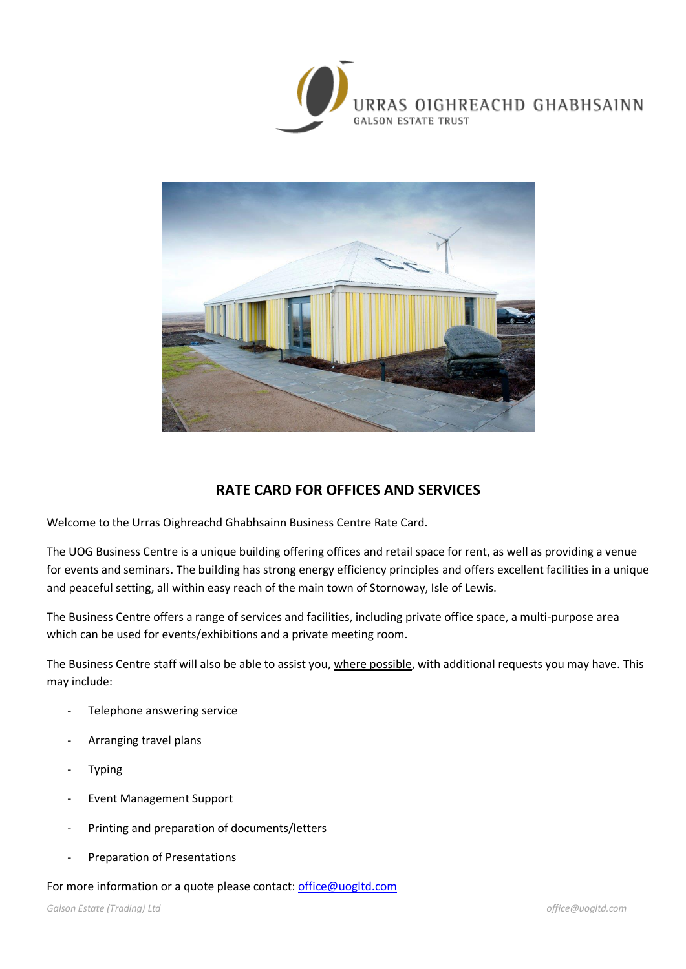



## **RATE CARD FOR OFFICES AND SERVICES**

Welcome to the Urras Oighreachd Ghabhsainn Business Centre Rate Card.

The UOG Business Centre is a unique building offering offices and retail space for rent, as well as providing a venue for events and seminars. The building has strong energy efficiency principles and offers excellent facilities in a unique and peaceful setting, all within easy reach of the main town of Stornoway, Isle of Lewis.

The Business Centre offers a range of services and facilities, including private office space, a multi-purpose area which can be used for events/exhibitions and a private meeting room.

The Business Centre staff will also be able to assist you, where possible, with additional requests you may have. This may include:

- Telephone answering service
- Arranging travel plans
- **Typing**
- Event Management Support
- Printing and preparation of documents/letters
- Preparation of Presentations

#### For more information or a quote please contact: [office@uogltd.com](mailto:office@uogltd.com)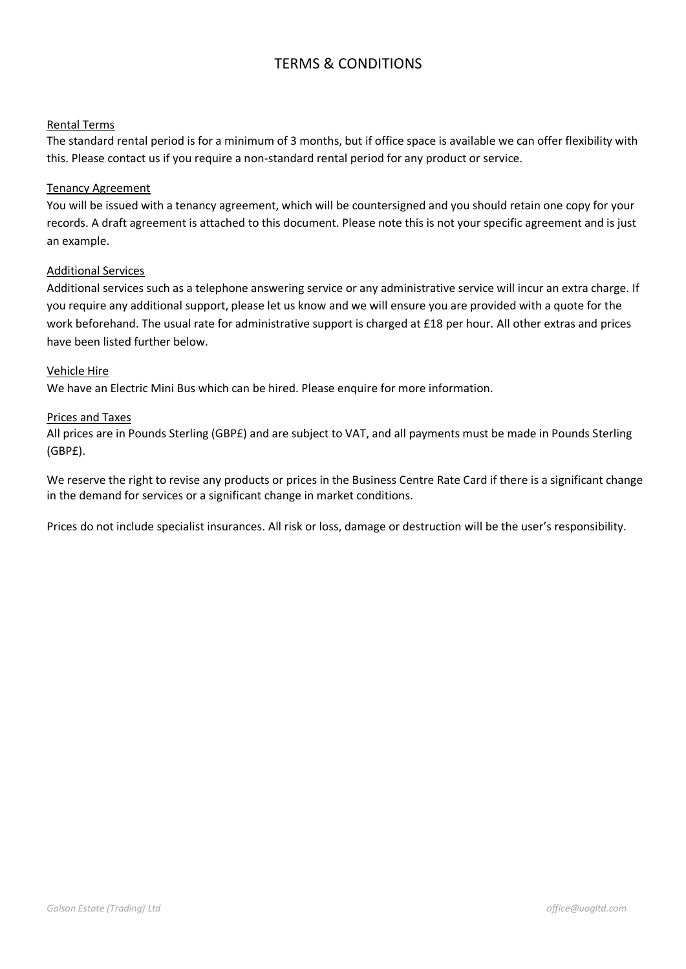## TERMS & CONDITIONS

#### Rental Terms

The standard rental period is for a minimum of 3 months, but if office space is available we can offer flexibility with this. Please contact us if you require a non-standard rental period for any product or service.

#### Tenancy Agreement

You will be issued with a tenancy agreement, which will be countersigned and you should retain one copy for your records. A draft agreement is attached to this document. Please note this is not your specific agreement and is just an example.

#### Additional Services

Additional services such as a telephone answering service or any administrative service will incur an extra charge. If you require any additional support, please let us know and we will ensure you are provided with a quote for the work beforehand. The usual rate for administrative support is charged at £18 per hour. All other extras and prices have been listed further below.

#### Vehicle Hire

We have an Electric Mini Bus which can be hired. Please enquire for more information.

#### Prices and Taxes

All prices are in Pounds Sterling (GBP£) and are subject to VAT, and all payments must be made in Pounds Sterling (GBP£).

We reserve the right to revise any products or prices in the Business Centre Rate Card if there is a significant change in the demand for services or a significant change in market conditions.

Prices do not include specialist insurances. All risk or loss, damage or destruction will be the user's responsibility.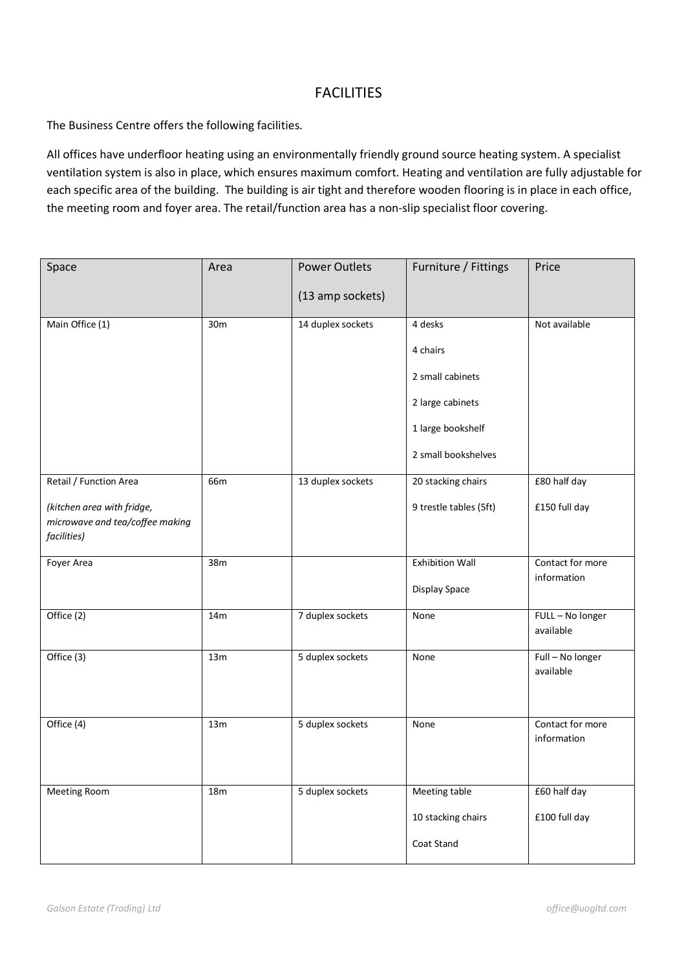### **FACILITIES**

The Business Centre offers the following facilities.

All offices have underfloor heating using an environmentally friendly ground source heating system. A specialist ventilation system is also in place, which ensures maximum comfort. Heating and ventilation are fully adjustable for each specific area of the building. The building is air tight and therefore wooden flooring is in place in each office, the meeting room and foyer area. The retail/function area has a non-slip specialist floor covering.

| Space                                                                                                  | Area | <b>Power Outlets</b><br>(13 amp sockets) | Furniture / Fittings                                                                                    | Price                           |
|--------------------------------------------------------------------------------------------------------|------|------------------------------------------|---------------------------------------------------------------------------------------------------------|---------------------------------|
| Main Office (1)                                                                                        | 30m  | 14 duplex sockets                        | 4 desks<br>4 chairs<br>2 small cabinets<br>2 large cabinets<br>1 large bookshelf<br>2 small bookshelves | Not available                   |
| Retail / Function Area<br>(kitchen area with fridge,<br>microwave and tea/coffee making<br>facilities) | 66m  | 13 duplex sockets                        | 20 stacking chairs<br>9 trestle tables (5ft)                                                            | £80 half day<br>£150 full day   |
| Foyer Area                                                                                             | 38m  |                                          | <b>Exhibition Wall</b><br>Display Space                                                                 | Contact for more<br>information |
| Office (2)                                                                                             | 14m  | 7 duplex sockets                         | None                                                                                                    | FULL - No longer<br>available   |
| Office (3)                                                                                             | 13m  | 5 duplex sockets                         | None                                                                                                    | Full - No longer<br>available   |
| Office (4)                                                                                             | 13m  | 5 duplex sockets                         | None                                                                                                    | Contact for more<br>information |
| Meeting Room                                                                                           | 18m  | 5 duplex sockets                         | Meeting table<br>10 stacking chairs<br>Coat Stand                                                       | £60 half day<br>£100 full day   |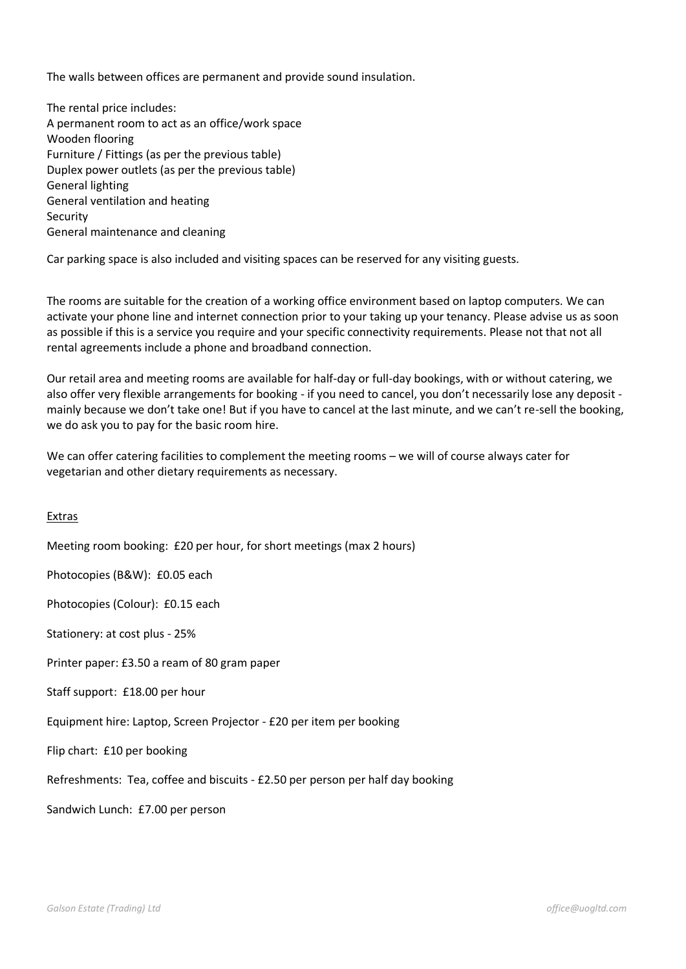The walls between offices are permanent and provide sound insulation.

The rental price includes: A permanent room to act as an office/work space Wooden flooring Furniture / Fittings (as per the previous table) Duplex power outlets (as per the previous table) General lighting General ventilation and heating Security General maintenance and cleaning

Car parking space is also included and visiting spaces can be reserved for any visiting guests.

The rooms are suitable for the creation of a working office environment based on laptop computers. We can activate your phone line and internet connection prior to your taking up your tenancy. Please advise us as soon as possible if this is a service you require and your specific connectivity requirements. Please not that not all rental agreements include a phone and broadband connection.

Our retail area and meeting rooms are available for half-day or full-day bookings, with or without catering, we also offer very flexible arrangements for booking - if you need to cancel, you don't necessarily lose any deposit mainly because we don't take one! But if you have to cancel at the last minute, and we can't re-sell the booking, we do ask you to pay for the basic room hire.

We can offer catering facilities to complement the meeting rooms – we will of course always cater for vegetarian and other dietary requirements as necessary.

#### Extras

Meeting room booking: £20 per hour, for short meetings (max 2 hours)

Photocopies (B&W): £0.05 each

Photocopies (Colour): £0.15 each

Stationery: at cost plus - 25%

Printer paper: £3.50 a ream of 80 gram paper

Staff support: £18.00 per hour

Equipment hire: Laptop, Screen Projector - £20 per item per booking

Flip chart: £10 per booking

Refreshments: Tea, coffee and biscuits - £2.50 per person per half day booking

Sandwich Lunch: £7.00 per person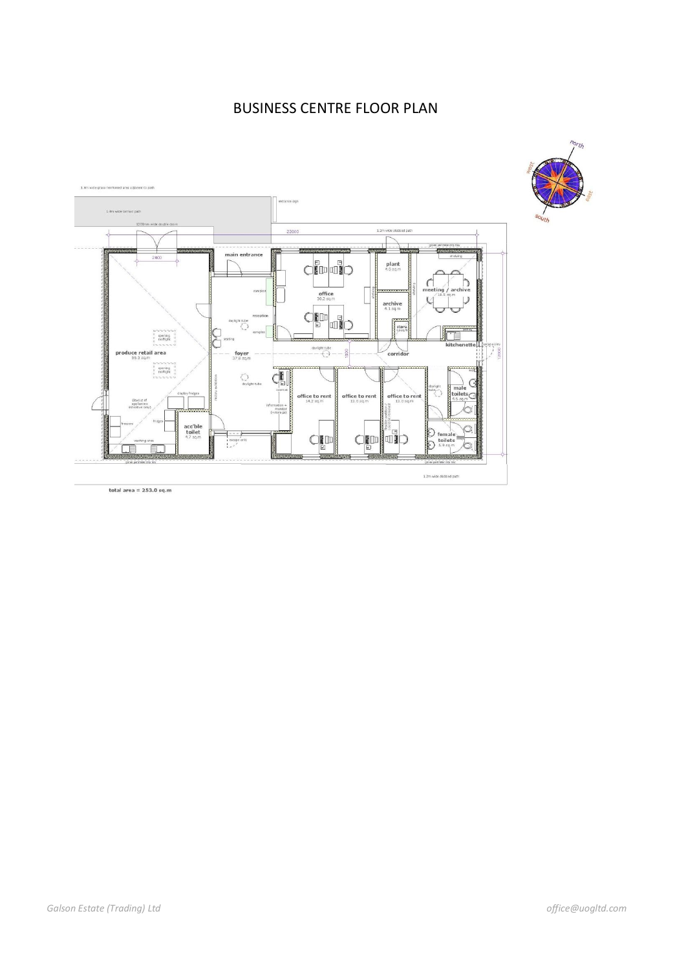# BUSINESS CENTRE FLOOR PLAN

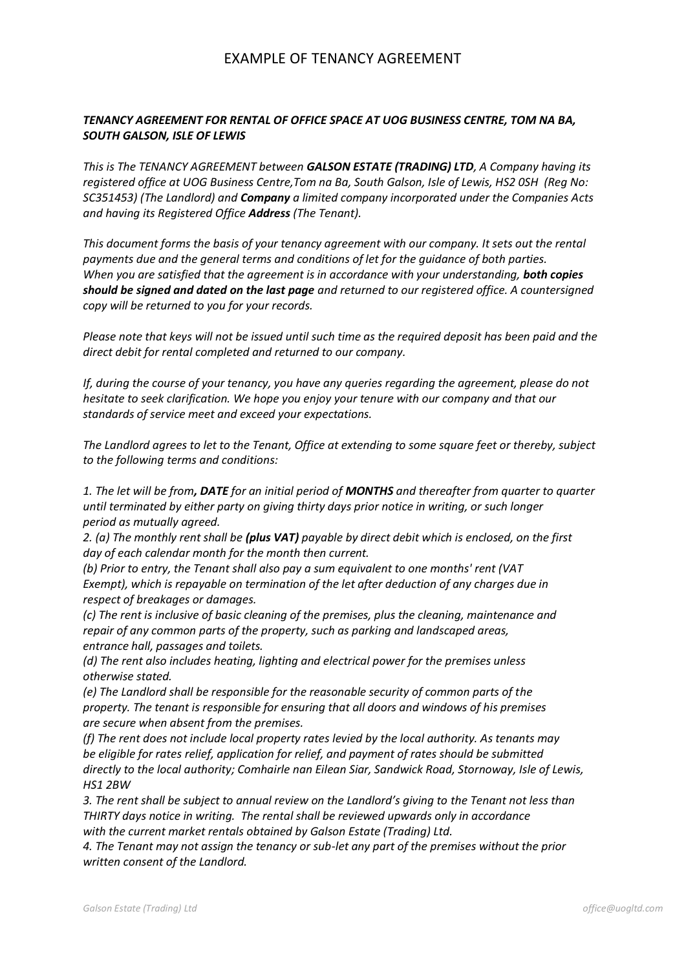### EXAMPLE OF TENANCY AGREEMENT

#### *TENANCY AGREEMENT FOR RENTAL OF OFFICE SPACE AT UOG BUSINESS CENTRE, TOM NA BA, SOUTH GALSON, ISLE OF LEWIS*

*This is The TENANCY AGREEMENT between GALSON ESTATE (TRADING) LTD, A Company having its registered office at UOG Business Centre,Tom na Ba, South Galson, Isle of Lewis, HS2 0SH (Reg No: SC351453) (The Landlord) and Company a limited company incorporated under the Companies Acts and having its Registered Office Address (The Tenant).*

*This document forms the basis of your tenancy agreement with our company. It sets out the rental payments due and the general terms and conditions of let for the guidance of both parties. When you are satisfied that the agreement is in accordance with your understanding, both copies should be signed and dated on the last page and returned to our registered office. A countersigned copy will be returned to you for your records.*

*Please note that keys will not be issued until such time as the required deposit has been paid and the direct debit for rental completed and returned to our company.*

*If, during the course of your tenancy, you have any queries regarding the agreement, please do not hesitate to seek clarification. We hope you enjoy your tenure with our company and that our standards of service meet and exceed your expectations.*

*The Landlord agrees to let to the Tenant, Office at extending to some square feet or thereby, subject to the following terms and conditions:*

*1. The let will be from, DATE for an initial period of MONTHS and thereafter from quarter to quarter until terminated by either party on giving thirty days prior notice in writing, or such longer period as mutually agreed.*

*2. (a) The monthly rent shall be (plus VAT) payable by direct debit which is enclosed, on the first day of each calendar month for the month then current.*

*(b) Prior to entry, the Tenant shall also pay a sum equivalent to one months' rent (VAT Exempt), which is repayable on termination of the let after deduction of any charges due in respect of breakages or damages.*

*(c) The rent is inclusive of basic cleaning of the premises, plus the cleaning, maintenance and repair of any common parts of the property, such as parking and landscaped areas, entrance hall, passages and toilets.*

*(d) The rent also includes heating, lighting and electrical power for the premises unless otherwise stated.*

*(e) The Landlord shall be responsible for the reasonable security of common parts of the property. The tenant is responsible for ensuring that all doors and windows of his premises are secure when absent from the premises.*

*(f) The rent does not include local property rates levied by the local authority. As tenants may be eligible for rates relief, application for relief, and payment of rates should be submitted directly to the local authority; Comhairle nan Eilean Siar, Sandwick Road, Stornoway, Isle of Lewis, HS1 2BW*

*3. The rent shall be subject to annual review on the Landlord's giving to the Tenant not less than THIRTY days notice in writing. The rental shall be reviewed upwards only in accordance with the current market rentals obtained by Galson Estate (Trading) Ltd.*

*4. The Tenant may not assign the tenancy or sub-let any part of the premises without the prior written consent of the Landlord.*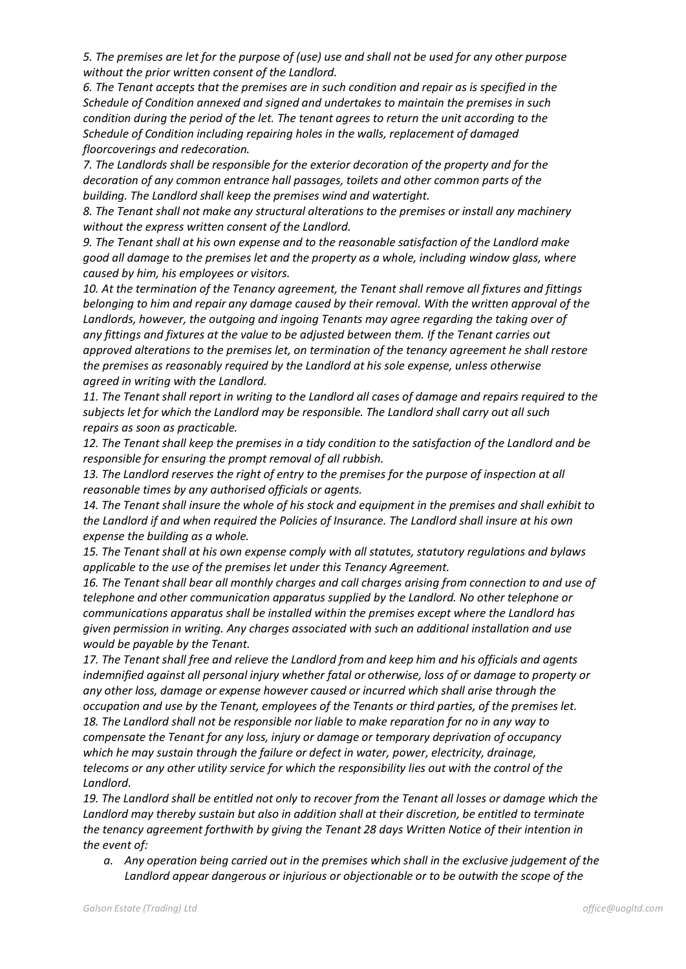*5. The premises are let for the purpose of (use) use and shall not be used for any other purpose without the prior written consent of the Landlord.*

*6. The Tenant accepts that the premises are in such condition and repair as is specified in the Schedule of Condition annexed and signed and undertakes to maintain the premises in such condition during the period of the let. The tenant agrees to return the unit according to the Schedule of Condition including repairing holes in the walls, replacement of damaged floorcoverings and redecoration.*

*7. The Landlords shall be responsible for the exterior decoration of the property and for the decoration of any common entrance hall passages, toilets and other common parts of the building. The Landlord shall keep the premises wind and watertight.*

*8. The Tenant shall not make any structural alterations to the premises or install any machinery without the express written consent of the Landlord.*

*9. The Tenant shall at his own expense and to the reasonable satisfaction of the Landlord make good all damage to the premises let and the property as a whole, including window glass, where caused by him, his employees or visitors.*

*10. At the termination of the Tenancy agreement, the Tenant shall remove all fixtures and fittings belonging to him and repair any damage caused by their removal. With the written approval of the Landlords, however, the outgoing and ingoing Tenants may agree regarding the taking over of any fittings and fixtures at the value to be adjusted between them. If the Tenant carries out approved alterations to the premises let, on termination of the tenancy agreement he shall restore the premises as reasonably required by the Landlord at his sole expense, unless otherwise agreed in writing with the Landlord.*

*11. The Tenant shall report in writing to the Landlord all cases of damage and repairs required to the subjects let for which the Landlord may be responsible. The Landlord shall carry out all such repairs as soon as practicable.*

*12. The Tenant shall keep the premises in a tidy condition to the satisfaction of the Landlord and be responsible for ensuring the prompt removal of all rubbish.*

*13. The Landlord reserves the right of entry to the premises for the purpose of inspection at all reasonable times by any authorised officials or agents.*

*14. The Tenant shall insure the whole of his stock and equipment in the premises and shall exhibit to the Landlord if and when required the Policies of Insurance. The Landlord shall insure at his own expense the building as a whole.*

*15. The Tenant shall at his own expense comply with all statutes, statutory regulations and bylaws applicable to the use of the premises let under this Tenancy Agreement.*

*16. The Tenant shall bear all monthly charges and call charges arising from connection to and use of telephone and other communication apparatus supplied by the Landlord. No other telephone or communications apparatus shall be installed within the premises except where the Landlord has given permission in writing. Any charges associated with such an additional installation and use would be payable by the Tenant.*

*17. The Tenant shall free and relieve the Landlord from and keep him and his officials and agents indemnified against all personal injury whether fatal or otherwise, loss of or damage to property or any other loss, damage or expense however caused or incurred which shall arise through the occupation and use by the Tenant, employees of the Tenants or third parties, of the premises let. 18. The Landlord shall not be responsible nor liable to make reparation for no in any way to compensate the Tenant for any loss, injury or damage or temporary deprivation of occupancy which he may sustain through the failure or defect in water, power, electricity, drainage, telecoms or any other utility service for which the responsibility lies out with the control of the Landlord.*

*19. The Landlord shall be entitled not only to recover from the Tenant all losses or damage which the Landlord may thereby sustain but also in addition shall at their discretion, be entitled to terminate the tenancy agreement forthwith by giving the Tenant 28 days Written Notice of their intention in the event of:*

*a. Any operation being carried out in the premises which shall in the exclusive judgement of the Landlord appear dangerous or injurious or objectionable or to be outwith the scope of the*